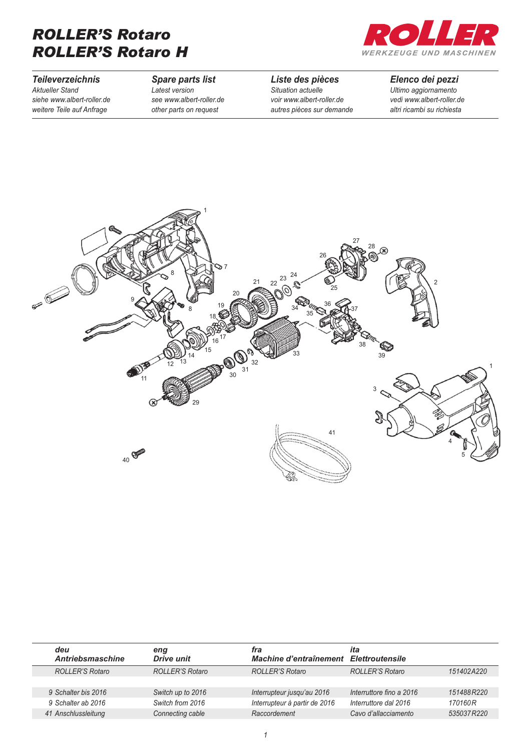## *ROLLER'S Rotaro ROLLER'S Rotaro H*



*Teileverzeichnis Aktueller Stand siehe www.albert-roller.de weitere Teile auf Anfrage*

## *Spare parts list Latest version*

*see www.albert-roller.de other parts on request*

## *Liste des pièces*

*Situation actuelle voir www.albert-roller.de autres pièces sur demande*

## *Elenco dei pezzi*

*Ultimo aggiornamento vedi www.albert-roller.de altri ricambi su richiesta*



| deu<br>Antriebsmaschine | eng<br><b>Drive unit</b> | fra<br>Machine d'entraînement | ita<br>Elettroutensile   |            |
|-------------------------|--------------------------|-------------------------------|--------------------------|------------|
| ROLLER'S Rotaro         | ROLLER'S Rotaro          | <b>ROLLER'S Rotaro</b>        | ROLLER'S Rotaro          | 151402A220 |
|                         |                          |                               |                          |            |
| 9 Schalter bis 2016     | Switch up to 2016        | Interrupteur jusqu'au 2016    | Interruttore fino a 2016 | 151488R220 |
| 9 Schalter ab 2016      | Switch from 2016         | Interrupteur à partir de 2016 | Interruttore dal 2016    | 170160R    |
| 41 Anschlussleitung     | Connecting cable         | Raccordement                  | Cavo d'allacciamento     | 535037R220 |
|                         |                          |                               |                          |            |